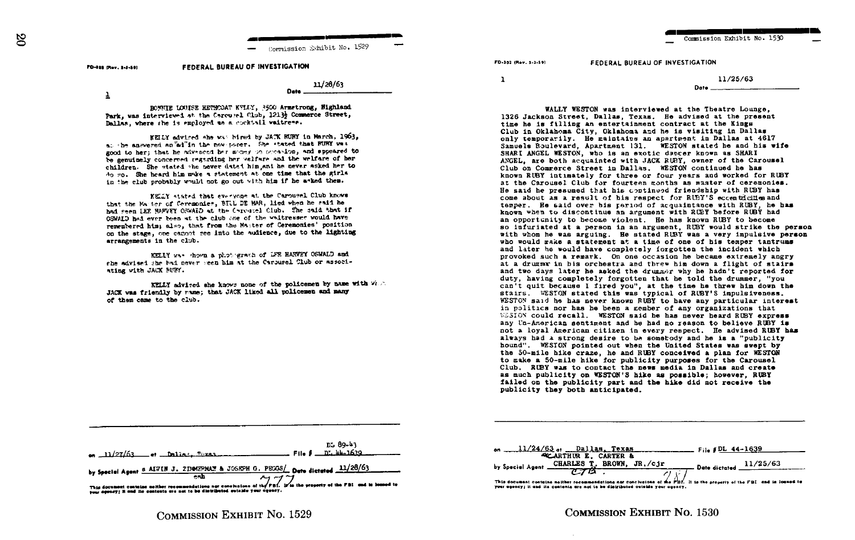$\mathbb{S}$ 

Commission Exhibit No. 1529

## FEDERAL BUREAU OF INVESTIGATION PD-103 (Rev. 1-1-59)

 $11/28/63$ 

Date.

 $\overline{1}$ 

BOWNTE LOUISE HETHODAT KYLLY, 3500 Armetrong, Bighland Park, was interviewed at the Carousel Club, 1213; Commerce Street, Dallas, where she is employed as a cocktail vaitress.

KEILY advised she was bired by JATK RUBY in March, 1963. at the answered an all'in the new paper. She stated that RUBY was good to her; that he advenced her money on occasion, and spoeared to be genuinely concerned regarding her velfare and the welfare of her children. She stated she wever dated him and he never asked her to do so. She heard him make a statement at one time that the girls in the club probably would not go out with him if he asked them.

KELLY stated that everyone at the Carougel Club knows that the Matter of Ceremonies. BILL DE MAR. lied when he said he had seen IEF HAPVEY OSWAID at the Carousel Club. The said that if OSWALD had ever been at the club one of the waitresser would have remembered him; also, that from the Master of Ceremonies' position on the stage, one cannot see into the audience, due to the lighting arrangements in the club.

KELLY was shown a photograph of LFE HARVEY OSWALD and she advised she had never seen him at the Carousel Club or associating with JACK BUBY.

KELLY advised she knows none of the policemen by name with vira JACK was friendly by rame; that JACK liked all policemen and many of them came to the club.

Commission Exhibit No. 1530

Date

**FD-102 (Bay 1-1-50)** 

FEDERAL BUREAU OF INVESTIGATION

 $\mathbf{1}$ 

11/25/63

WALLY WESTON was interviewed at the Theatre Lounge. 1326 Jackson Street, Dallas, Texas. He advised at the present time he is filling an entertainment contract at the Kings Club in Oklahoma City, Oklahoma and he is visiting in Dallas only temporarily. He maintains an apartment in Dallas at 4617 Samuels Boulevard, Apartment 131. WESTON stated he and his wife SHARI ANGEL WESTON, who is an exotic depcer known as SHARI ANGEL, are both acquainted with JACK RUBY, owner of the Carousel Club on Commerce Street in Dallas. WESTON continued he has known RUBY intimately for three or four years and worked for RUBY at the Carousel Club for fourteen months as master of ceremonies. He said he presumed that his continued friendship with RUBY has come about as a result of his respect for RUBY'S eccentricities and temper. He said over his reriod of acquaintance with RUBY, he has known when to discontinue an argument with RUEY before RUBY had an opportunity to become violent. He has known RUBY to become so infuriated at a person in an argument. RUBY would strike the person with whom he was arguing. He stated RUBY was a very impulsive person who would make a statement at a time of one of his temper tantrums and later he would have completely forgotten the incident which provoked such a remark. On one occasion he became extremely angry at a drugger in his orchestra and threw him down a flight of stairs and two days later he asked the drummer why he hadn't reported for duty, having completely forgotten that he told the drummer. "you can't quit because I fired you", at the time he threw him down the stairs. WESTON stated this was typical of RUBY'S impulsiveness. WESTON said he has never known RUBY to have any particular interest in politics nor has he been a member of any organizations that WESTON could recall. WESTON said he has never heard RUBY express any Un-American sentiment and he had no reason to believe RUBY is not a loyal American citizen in every respect. He advised RUBY has always had a strong desire to be somebody and he is a "publicity hound". WESTON pointed out when the United States was swept by the 50-mile hike craze, he and RUBY conceived a plan for WESTON to make a 50-mile hike for publicity purposes for the Carousel Club. RUBY was to contact the news media in Dallas and create as much publicity on WESTON'S hike as possible; however, RUBY failed on the publicity part and the hike did not receive the publicity they both anticipated.

|                                                                                                                                                                                                            | on $11/27/63$ or Dalias, $P_1$ xas, $1/27/63$ File $\beta$ D. $44-1639$                          | DL 89-43 |  |
|------------------------------------------------------------------------------------------------------------------------------------------------------------------------------------------------------------|--------------------------------------------------------------------------------------------------|----------|--|
|                                                                                                                                                                                                            | by Special Agent 6 AIVIN J. 2DM/EPMAN & JOSISPH G. PECOS/ Date dictated $\frac{11/28/63}{24/10}$ |          |  |
| This document contains nother recommendations not conclusions of the FBI. It's the property of the FBI and in lessed to<br>your agency; it and its contents are not to be distributed outside your accury. |                                                                                                  |          |  |

| $11/24/63$ of Dallas, Texas entries File #DL 44-1639<br>on                                                                |                              |  |  |
|---------------------------------------------------------------------------------------------------------------------------|------------------------------|--|--|
| <b>ACARTHUR E. CARTER &amp;</b>                                                                                           |                              |  |  |
| by Special Agent CHARLES T. BROWN, JR./cjr                                                                                | $-$ Date dictated $11/25/63$ |  |  |
| $\sim$                                                                                                                    |                              |  |  |
| This document contains neither recommendations nor conclusions of the PBI. It is the property of the FBI and is loaned to |                              |  |  |
| your agency; it and its contents are not to be distributed outside your agency,                                           |                              |  |  |

COMMISSION EXHIBIT NO. 1529

**COMMISSION EXHIBIT NO. 1530**